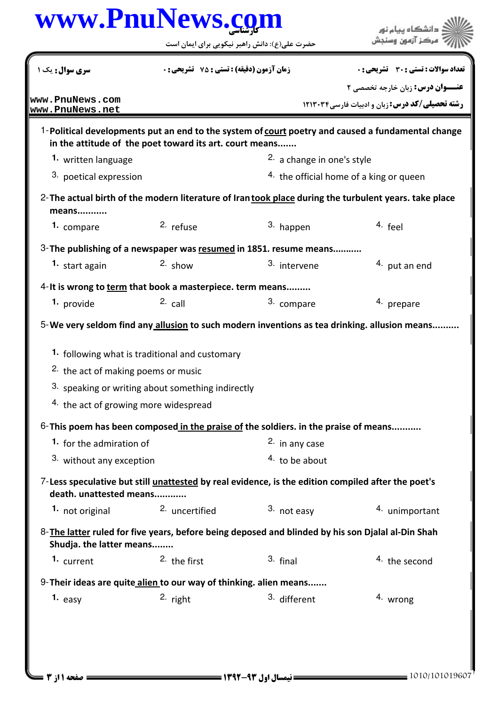## كارشناسي **[www.PnuNews.com](http://www.PnuNews.com)**

| <b>سری سوال :</b> یک ۱                                             | زمان آزمون (دقیقه) : تستی : 75 ٪ تشریحی : 0                                                        |                                         | تعداد سوالات : تستي : 30 ٪ تشريحي : 0                                                                 |  |
|--------------------------------------------------------------------|----------------------------------------------------------------------------------------------------|-----------------------------------------|-------------------------------------------------------------------------------------------------------|--|
|                                                                    |                                                                                                    |                                         | <b>عنـــوان درس:</b> زبان خارجه تخصصی ۲                                                               |  |
| www.PnuNews.com<br>www.PnuNews.net                                 |                                                                                                    |                                         | <b>رشته تحصیلی/کد درس: زبان و ادبیات فارسی31233 ۲۱۳۰۳۴</b>                                            |  |
|                                                                    | in the attitude of the poet toward its art. court means                                            |                                         | 1-Political developments put an end to the system of court poetry and caused a fundamental change     |  |
| 1. written language                                                |                                                                                                    |                                         | <sup>2.</sup> a change in one's style                                                                 |  |
| 3. poetical expression                                             |                                                                                                    | 4. the official home of a king or queen |                                                                                                       |  |
| means                                                              |                                                                                                    |                                         | 2-The actual birth of the modern literature of Iran took place during the turbulent years. take place |  |
| 1. compare                                                         | 2. refuse                                                                                          | 3. happen                               | 4. feel                                                                                               |  |
|                                                                    | 3-The publishing of a newspaper was resumed in 1851. resume means                                  |                                         |                                                                                                       |  |
| 1. start again                                                     | $2.$ show                                                                                          | 3. intervene                            | 4. put an end                                                                                         |  |
|                                                                    | 4-It is wrong to term that book a masterpiece. term means                                          |                                         |                                                                                                       |  |
| 1. provide                                                         | $2c$ call                                                                                          | 3. compare                              | 4. prepare                                                                                            |  |
|                                                                    | 5-We very seldom find any allusion to such modern inventions as tea drinking. allusion means       |                                         |                                                                                                       |  |
|                                                                    | 1. following what is traditional and customary                                                     |                                         |                                                                                                       |  |
| <sup>2</sup> the act of making poems or music                      |                                                                                                    |                                         |                                                                                                       |  |
|                                                                    | 3. speaking or writing about something indirectly                                                  |                                         |                                                                                                       |  |
| <sup>4.</sup> the act of growing more widespread                   |                                                                                                    |                                         |                                                                                                       |  |
|                                                                    | 6-This poem has been composed in the praise of the soldiers. in the praise of means                |                                         |                                                                                                       |  |
| 1. for the admiration of                                           |                                                                                                    | 2. in any case                          |                                                                                                       |  |
| 3. without any exception                                           |                                                                                                    | $4.$ to be about                        |                                                                                                       |  |
| death. unattested means                                            | 7-Less speculative but still unattested by real evidence, is the edition compiled after the poet's |                                         |                                                                                                       |  |
| 1. not original                                                    | <sup>2.</sup> uncertified                                                                          | 3. not easy                             | 4. unimportant                                                                                        |  |
| Shudja. the latter means                                           | 8-The latter ruled for five years, before being deposed and blinded by his son Djalal al-Din Shah  |                                         |                                                                                                       |  |
| 1. current                                                         | <sup>2</sup> the first                                                                             | $3.$ final                              | <sup>4.</sup> the second                                                                              |  |
|                                                                    |                                                                                                    |                                         |                                                                                                       |  |
| 9- Their ideas are quite alien to our way of thinking. alien means |                                                                                                    |                                         |                                                                                                       |  |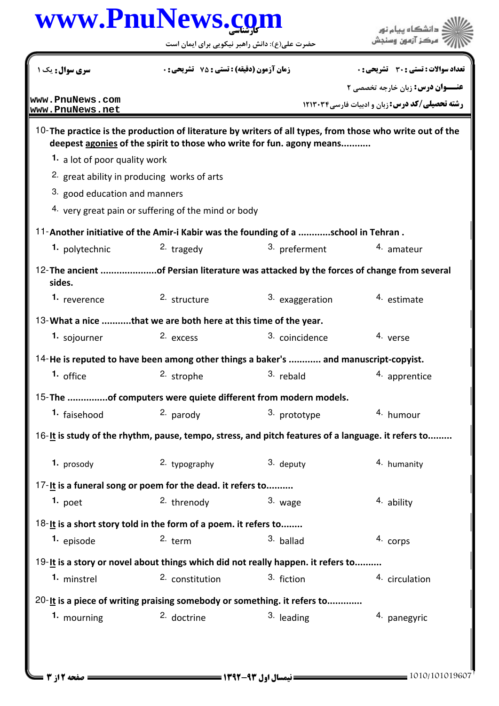## كارشناسي **[www.PnuNews.com](http://www.PnuNews.com)**

حضرت علي(ع): دانش راهبر نيكويي براي ايمان است



| سری سوال: یک ۱                     | <b>زمان آزمون (دقیقه) : تستی : 75 ٪ تشریحی : 0</b>                                                 |                 | <b>تعداد سوالات : تستي : 30 ٪ تشريحي : 0</b>                                                             |  |
|------------------------------------|----------------------------------------------------------------------------------------------------|-----------------|----------------------------------------------------------------------------------------------------------|--|
|                                    |                                                                                                    |                 | <b>عنـــوان درس:</b> زبان خارجه تخصصی ۲                                                                  |  |
| www.PnuNews.com<br>www.PnuNews.net |                                                                                                    |                 | <b>رشته تحصیلی/کد درس:</b> زبان و ادبیات فارسی ۱۲۱۳۰۳۴                                                   |  |
|                                    | deepest agonies of the spirit to those who write for fun. agony means                              |                 | 10-The practice is the production of literature by writers of all types, from those who write out of the |  |
| 1. a lot of poor quality work      |                                                                                                    |                 |                                                                                                          |  |
|                                    | 2. great ability in producing works of arts                                                        |                 |                                                                                                          |  |
| 3. good education and manners      |                                                                                                    |                 |                                                                                                          |  |
|                                    | 4. very great pain or suffering of the mind or body                                                |                 |                                                                                                          |  |
|                                    | 11-Another initiative of the Amir-i Kabir was the founding of a school in Tehran.                  |                 |                                                                                                          |  |
| 1. polytechnic                     | $2.$ tragedy                                                                                       | 3. preferment   | <sup>4.</sup> amateur                                                                                    |  |
| sides.                             | 12- The ancient of Persian literature was attacked by the forces of change from several            |                 |                                                                                                          |  |
| 1. reverence                       | 2. structure                                                                                       | 3. exaggeration | 4. estimate                                                                                              |  |
|                                    | 13-What a nice that we are both here at this time of the year.                                     |                 |                                                                                                          |  |
| 1. sojourner                       | 2. excess                                                                                          | 3. coincidence  | 4. verse                                                                                                 |  |
|                                    | 14-He is reputed to have been among other things a baker's  and manuscript-copyist.                |                 |                                                                                                          |  |
| 1. office                          | 2. strophe                                                                                         | 3. rebald       | 4. apprentice                                                                                            |  |
|                                    | 15-The of computers were quiete different from modern models.                                      |                 |                                                                                                          |  |
| 1. faisehood                       | 2. parody                                                                                          | 3. prototype    | 4. humour                                                                                                |  |
|                                    | 16-It is study of the rhythm, pause, tempo, stress, and pitch features of a language. it refers to |                 |                                                                                                          |  |
| 1. prosody                         | 2. typography                                                                                      | 3. deputy       | 4. humanity                                                                                              |  |
|                                    | 17-It is a funeral song or poem for the dead. it refers to                                         |                 |                                                                                                          |  |
| $1.$ poet                          | 2. threnody                                                                                        | 3. wage         | 4. ability                                                                                               |  |
|                                    | 18-It is a short story told in the form of a poem. it refers to                                    |                 |                                                                                                          |  |
| 1. episode                         | $2.$ term                                                                                          | 3. ballad       | 4. corps                                                                                                 |  |
|                                    | 19-It is a story or novel about things which did not really happen. it refers to                   |                 |                                                                                                          |  |
| 1. minstrel                        | 2. constitution                                                                                    | 3. fiction      | 4. circulation                                                                                           |  |
|                                    | 20-It is a piece of writing praising somebody or something. it refers to                           |                 |                                                                                                          |  |
| 1. mourning                        | <sup>2.</sup> doctrine                                                                             | $3.$ leading    | 4. panegyric                                                                                             |  |
|                                    |                                                                                                    |                 |                                                                                                          |  |